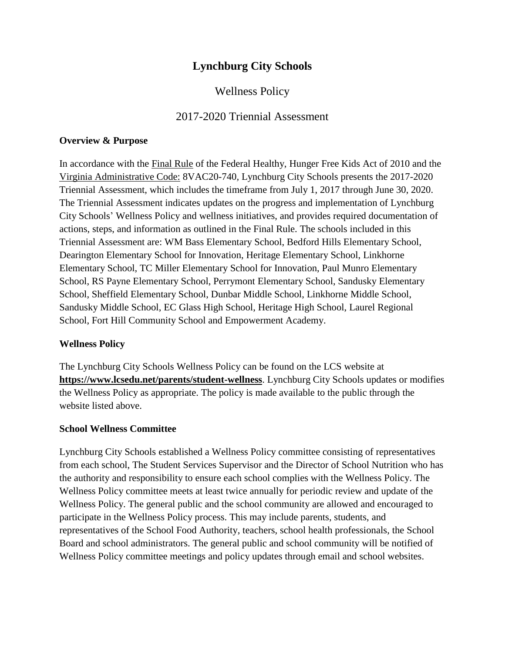# **Lynchburg City Schools**

# Wellness Policy

## 2017-2020 Triennial Assessment

#### **Overview & Purpose**

In accordance with the [Final Rule](about:blank) of the Federal Healthy, Hunger Free Kids Act of 2010 and the [Virginia Administrative Code:](about:blank) 8VAC20-740*,* Lynchburg City Schools presents the 2017-2020 Triennial Assessment, which includes the timeframe from July 1, 2017 through June 30, 2020. The Triennial Assessment indicates updates on the progress and implementation of Lynchburg City Schools' Wellness Policy and wellness initiatives, and provides required documentation of actions, steps, and information as outlined in the Final Rule. The schools included in this Triennial Assessment are: WM Bass Elementary School, Bedford Hills Elementary School, Dearington Elementary School for Innovation, Heritage Elementary School, Linkhorne Elementary School, TC Miller Elementary School for Innovation, Paul Munro Elementary School, RS Payne Elementary School, Perrymont Elementary School, Sandusky Elementary School, Sheffield Elementary School, Dunbar Middle School, Linkhorne Middle School, Sandusky Middle School, EC Glass High School, Heritage High School, Laurel Regional School, Fort Hill Community School and Empowerment Academy.

#### **Wellness Policy**

The Lynchburg City Schools Wellness Policy can be found on the LCS website at **<https://www.lcsedu.net/parents/student-wellness>**. Lynchburg City Schools updates or modifies the Wellness Policy as appropriate. The policy is made available to the public through the website listed above.

#### **School Wellness Committee**

Lynchburg City Schools established a Wellness Policy committee consisting of representatives from each school, The Student Services Supervisor and the Director of School Nutrition who has the authority and responsibility to ensure each school complies with the Wellness Policy. The Wellness Policy committee meets at least twice annually for periodic review and update of the Wellness Policy. The general public and the school community are allowed and encouraged to participate in the Wellness Policy process. This may include parents, students, and representatives of the School Food Authority, teachers, school health professionals, the School Board and school administrators. The general public and school community will be notified of Wellness Policy committee meetings and policy updates through email and school websites.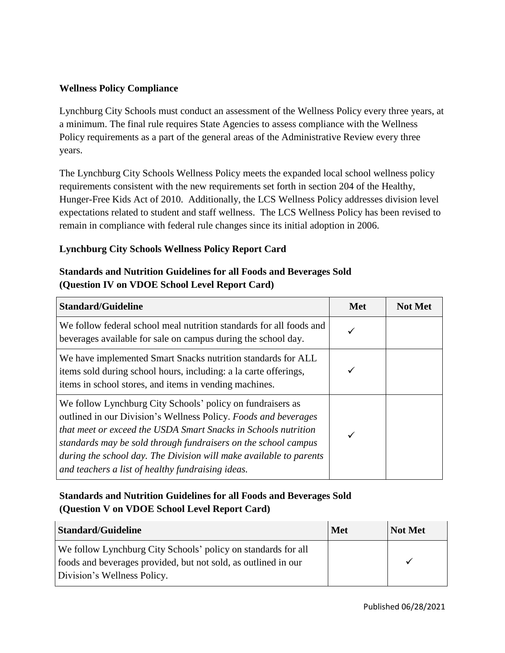### **Wellness Policy Compliance**

Lynchburg City Schools must conduct an assessment of the Wellness Policy every three years, at a minimum. The final rule requires State Agencies to assess compliance with the Wellness Policy requirements as a part of the general areas of the Administrative Review every three years.

The Lynchburg City Schools Wellness Policy meets the expanded local school wellness policy requirements consistent with the new requirements set forth in section 204 of the Healthy, Hunger-Free Kids Act of 2010. Additionally, the LCS Wellness Policy addresses division level expectations related to student and staff wellness. The LCS Wellness Policy has been revised to remain in compliance with federal rule changes since its initial adoption in 2006.

### **Lynchburg City Schools Wellness Policy Report Card**

## **Standards and Nutrition Guidelines for all Foods and Beverages Sold (Question IV on VDOE School Level Report Card)**

| <b>Standard/Guideline</b>                                                                                                                                                                                                                                                                                                                                                                    | <b>Met</b> | <b>Not Met</b> |
|----------------------------------------------------------------------------------------------------------------------------------------------------------------------------------------------------------------------------------------------------------------------------------------------------------------------------------------------------------------------------------------------|------------|----------------|
| We follow federal school meal nutrition standards for all foods and<br>beverages available for sale on campus during the school day.                                                                                                                                                                                                                                                         |            |                |
| We have implemented Smart Snacks nutrition standards for ALL<br>items sold during school hours, including: a la carte offerings,<br>items in school stores, and items in vending machines.                                                                                                                                                                                                   |            |                |
| We follow Lynchburg City Schools' policy on fundraisers as<br>outlined in our Division's Wellness Policy. Foods and beverages<br>that meet or exceed the USDA Smart Snacks in Schools nutrition<br>standards may be sold through fundraisers on the school campus<br>during the school day. The Division will make available to parents<br>and teachers a list of healthy fundraising ideas. |            |                |

# **Standards and Nutrition Guidelines for all Foods and Beverages Sold (Question V on VDOE School Level Report Card)**

| <b>Standard/Guideline</b>                                      | <b>Met</b> | Not Met |
|----------------------------------------------------------------|------------|---------|
| We follow Lynchburg City Schools' policy on standards for all  |            |         |
| foods and beverages provided, but not sold, as outlined in our |            |         |
| Division's Wellness Policy.                                    |            |         |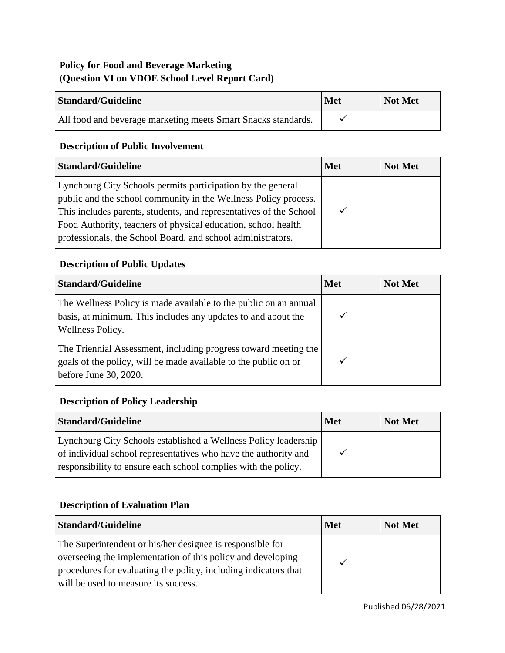# **Policy for Food and Beverage Marketing (Question VI on VDOE School Level Report Card)**

| <b>Standard/Guideline</b>                                     | <b>Met</b> | Not Met |
|---------------------------------------------------------------|------------|---------|
| All food and beverage marketing meets Smart Snacks standards. |            |         |

# **Description of Public Involvement**

| <b>Standard/Guideline</b>                                                                                                                                                                                                                                                                                                            | <b>Met</b> | <b>Not Met</b> |
|--------------------------------------------------------------------------------------------------------------------------------------------------------------------------------------------------------------------------------------------------------------------------------------------------------------------------------------|------------|----------------|
| Lynchburg City Schools permits participation by the general<br>public and the school community in the Wellness Policy process.<br>This includes parents, students, and representatives of the School<br>Food Authority, teachers of physical education, school health<br>professionals, the School Board, and school administrators. |            |                |

## **Description of Public Updates**

| <b>Standard/Guideline</b>                                                                                                                                   | <b>Met</b> | <b>Not Met</b> |
|-------------------------------------------------------------------------------------------------------------------------------------------------------------|------------|----------------|
| The Wellness Policy is made available to the public on an annual<br>basis, at minimum. This includes any updates to and about the<br>Wellness Policy.       |            |                |
| The Triennial Assessment, including progress toward meeting the<br>goals of the policy, will be made available to the public on or<br>before June 30, 2020. |            |                |

# **Description of Policy Leadership**

| <b>Standard/Guideline</b>                                                                                                                                                                            | <b>Met</b> | Not Met |
|------------------------------------------------------------------------------------------------------------------------------------------------------------------------------------------------------|------------|---------|
| Lynchburg City Schools established a Wellness Policy leadership<br>of individual school representatives who have the authority and<br>responsibility to ensure each school complies with the policy. |            |         |

## **Description of Evaluation Plan**

| <b>Standard/Guideline</b>                                                                                                                                                                                                           | <b>Met</b> | Not Met |
|-------------------------------------------------------------------------------------------------------------------------------------------------------------------------------------------------------------------------------------|------------|---------|
| The Superintendent or his/her designee is responsible for<br>overseeing the implementation of this policy and developing<br>procedures for evaluating the policy, including indicators that<br>will be used to measure its success. |            |         |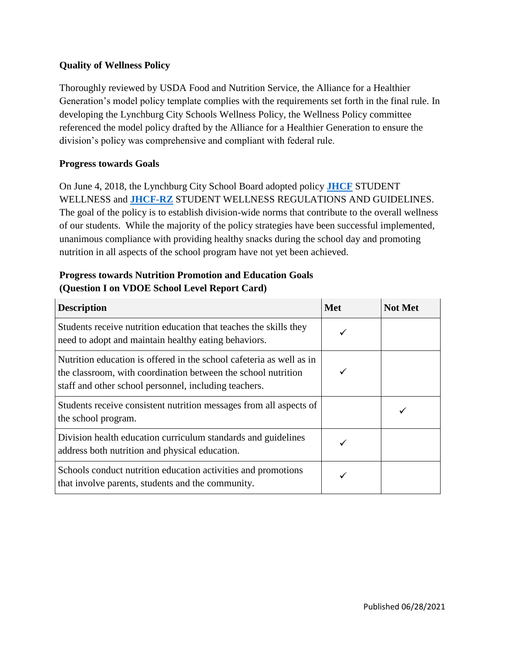#### **Quality of Wellness Policy**

Thoroughly reviewed by USDA Food and Nutrition Service, the Alliance for a Healthier Generation's model policy template complies with the requirements set forth in the final rule. In developing the Lynchburg City Schools Wellness Policy, the Wellness Policy committee referenced the model policy drafted by the Alliance for a Healthier Generation to ensure the division's policy was comprehensive and compliant with federal rule.

#### **Progress towards Goals**

On June 4, 2018, the Lynchburg City School Board adopted policy **[JHCF](https://go.boarddocs.com/va/lynchburg/Board.nsf/goto?open&id=BP7VGL80B2B0)** STUDENT WELLNESS and **[JHCF-RZ](https://go.boarddocs.com/va/lynchburg/Board.nsf/goto?open&id=BP7VGL80B2B0)** STUDENT WELLNESS REGULATIONS AND GUIDELINES. The goal of the policy is to establish division-wide norms that contribute to the overall wellness of our students. While the majority of the policy strategies have been successful implemented, unanimous compliance with providing healthy snacks during the school day and promoting nutrition in all aspects of the school program have not yet been achieved.

## **Progress towards Nutrition Promotion and Education Goals (Question I on VDOE School Level Report Card)**

| <b>Description</b>                                                                                                                                                                             | <b>Met</b> | <b>Not Met</b> |
|------------------------------------------------------------------------------------------------------------------------------------------------------------------------------------------------|------------|----------------|
| Students receive nutrition education that teaches the skills they<br>need to adopt and maintain healthy eating behaviors.                                                                      |            |                |
| Nutrition education is offered in the school cafeteria as well as in<br>the classroom, with coordination between the school nutrition<br>staff and other school personnel, including teachers. |            |                |
| Students receive consistent nutrition messages from all aspects of<br>the school program.                                                                                                      |            |                |
| Division health education curriculum standards and guidelines<br>address both nutrition and physical education.                                                                                |            |                |
| Schools conduct nutrition education activities and promotions<br>that involve parents, students and the community.                                                                             |            |                |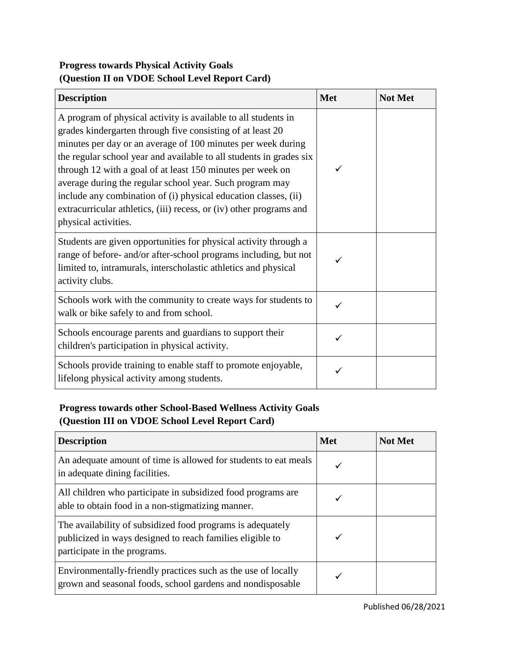# **Progress towards Physical Activity Goals (Question II on VDOE School Level Report Card)**

| <b>Description</b>                                                                                                                                                                                                                                                                                                                                                                                                                                                                                                                                              | <b>Met</b> | <b>Not Met</b> |
|-----------------------------------------------------------------------------------------------------------------------------------------------------------------------------------------------------------------------------------------------------------------------------------------------------------------------------------------------------------------------------------------------------------------------------------------------------------------------------------------------------------------------------------------------------------------|------------|----------------|
| A program of physical activity is available to all students in<br>grades kindergarten through five consisting of at least 20<br>minutes per day or an average of 100 minutes per week during<br>the regular school year and available to all students in grades six<br>through 12 with a goal of at least 150 minutes per week on<br>average during the regular school year. Such program may<br>include any combination of (i) physical education classes, (ii)<br>extracurricular athletics, (iii) recess, or (iv) other programs and<br>physical activities. |            |                |
| Students are given opportunities for physical activity through a<br>range of before- and/or after-school programs including, but not<br>limited to, intramurals, interscholastic athletics and physical<br>activity clubs.                                                                                                                                                                                                                                                                                                                                      |            |                |
| Schools work with the community to create ways for students to<br>walk or bike safely to and from school.                                                                                                                                                                                                                                                                                                                                                                                                                                                       |            |                |
| Schools encourage parents and guardians to support their<br>children's participation in physical activity.                                                                                                                                                                                                                                                                                                                                                                                                                                                      |            |                |
| Schools provide training to enable staff to promote enjoyable,<br>lifelong physical activity among students.                                                                                                                                                                                                                                                                                                                                                                                                                                                    |            |                |

# **Progress towards other School-Based Wellness Activity Goals (Question III on VDOE School Level Report Card)**

| <b>Description</b>                                                                                                                                      | <b>Met</b> | <b>Not Met</b> |
|---------------------------------------------------------------------------------------------------------------------------------------------------------|------------|----------------|
| An adequate amount of time is allowed for students to eat meals<br>in adequate dining facilities.                                                       |            |                |
| All children who participate in subsidized food programs are<br>able to obtain food in a non-stigmatizing manner.                                       |            |                |
| The availability of subsidized food programs is adequately<br>publicized in ways designed to reach families eligible to<br>participate in the programs. |            |                |
| Environmentally-friendly practices such as the use of locally<br>grown and seasonal foods, school gardens and nondisposable                             |            |                |